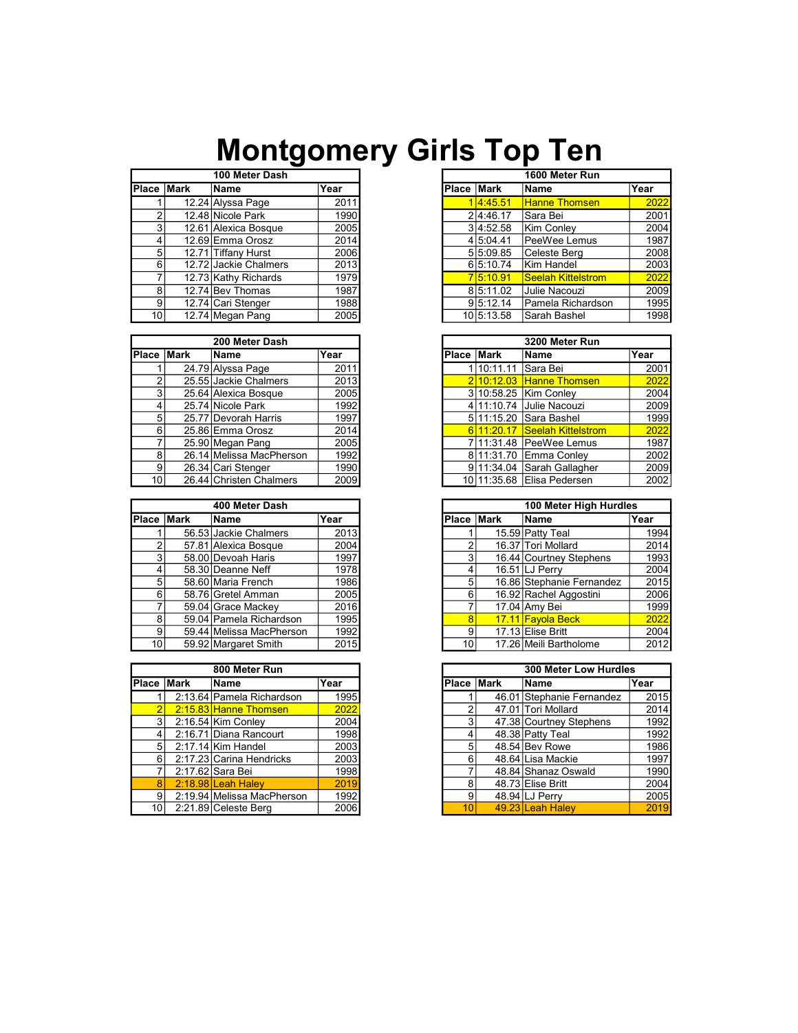## Montgomery Girls Top Ten

|                 |            | 100 Meter Dash        |               |
|-----------------|------------|-----------------------|---------------|
|                 | Place Mark | ∣Name                 | Year          |
|                 |            | 12.24 Alyssa Page     | 2011          |
|                 |            | 12.48 Nicole Park     | 1990 <b>I</b> |
| 3               |            | 12.61 Alexica Bosque  | 2005          |
| 4               |            | 12.69 Emma Orosz      | 2014          |
| 5 <sup>1</sup>  |            | 12.71 Tiffany Hurst   | 2006          |
| 61              |            | 12.72 Jackie Chalmers | 2013          |
|                 |            | 12.73 Kathy Richards  | 1979 <b>I</b> |
| 8               |            | 12.74 Bev Thomas      | 1987          |
| 9               |            | 12.74 Cari Stenger    | 1988 <b>I</b> |
| 10 <sup>1</sup> |            | 12.74 Megan Pang      | 2005 <b>1</b> |

|                | 200 Meter Dash           |               |
|----------------|--------------------------|---------------|
| Place Mark     | <b>Name</b>              | Year          |
|                | 24.79 Alyssa Page        | 2011          |
|                | 25.55 Jackie Chalmers    | 2013 <b>1</b> |
| $\mathbf{3}$   | 25.64 Alexica Bosque     | 2005          |
| 4              | 25.74 Nicole Park        | 1992 <b>1</b> |
| 5              | 25.77 Devorah Harris     | 1997          |
| 6 <sup>1</sup> | 25.86 Emma Orosz         | 2014          |
|                | 25.90 Megan Pang         | 2005          |
| 8              | 26.14 Melissa MacPherson | 1992 <b>I</b> |
| 9              | 26.34 Cari Stenger       | 1990 <b>I</b> |
| 10 I           | 26.44 Christen Chalmers  | 2009          |

|      |              | 400 Meter Dash           |               |
|------|--------------|--------------------------|---------------|
|      | IPlace ∣Mark | <b>Name</b>              | Year          |
|      |              | 56.53 Jackie Chalmers    | 2013          |
|      |              | 57.81 Alexica Bosque     | 2004          |
|      |              | 58.00 Devoah Haris       | 1997          |
|      |              | 58.30 Deanne Neff        | 1978          |
| 5    |              | 58.60 Maria French       | 1986 <b>I</b> |
| 6    |              | 58.76 Gretel Amman       | 2005          |
|      |              | 59.04 Grace Mackey       | 2016          |
| 8    |              | 59.04 Pamela Richardson  | 1995          |
| 9    |              | 59.44 Melissa MacPherson | 1992          |
| 10 I |              | 59.92 Margaret Smith     | 2015          |

|                 |            | 800 Meter Run              |               |            | <b>300 Meter Low Hurdles</b> |      |
|-----------------|------------|----------------------------|---------------|------------|------------------------------|------|
|                 | Place Mark | <b>Name</b>                | Year          | Place Mark | <b>Name</b>                  | Year |
|                 |            | 2:13.64 Pamela Richardson  | 1995          |            | 46.01 Stephanie Fernandez    |      |
|                 |            | 2:15.83 Hanne Thomsen      | 2022          |            | 47.01 Tori Mollard           |      |
| 3               |            | 2:16.54 Kim Conley         | 2004          |            | 47.38 Courtney Stephens      |      |
|                 |            | 2:16.71 Diana Rancourt     | 1998          |            | 48.38 Patty Teal             |      |
| 5               |            | $2:17.14$ Kim Handel       | 2003 <b>1</b> |            | 48.54 Bev Rowe               |      |
| 6               |            | 2:17.23 Carina Hendricks   | 2003          | 6          | 48.64 Lisa Mackie            |      |
|                 |            | 2:17.62 Sara Bei           | 1998          |            | 48.84 Shanaz Oswald          |      |
| 8               |            | 2:18.98 Leah Halev         | 2019          | 8          | 48.73 Elise Britt            |      |
| 9               |            | 2:19.94 Melissa MacPherson | 1992 <b>1</b> | 9          | 48.94 LJ Perry               |      |
| 10 <sup>1</sup> |            | 2:21.89 Celeste Berg       | 2006          | 10         | 49.23 Leah Halev             |      |

|                   |          | 100 Meter Dash        |               |
|-------------------|----------|-----------------------|---------------|
|                   | :e ∣Mark | <b>Name</b>           | Year          |
|                   |          | 12.24 Alyssa Page     | 2011          |
| $\overline{2}$    |          | 12.48 Nicole Park     | 1990          |
| $\lvert 3 \rvert$ |          | 12.61 Alexica Bosque  | 2005          |
| 4                 |          | 12.69 Emma Orosz      | 2014          |
| 5                 |          | 12.71 Tiffany Hurst   | 2006 <b>1</b> |
| 6                 |          | 12.72 Jackie Chalmers | 2013          |
|                   |          | 12.73 Kathy Richards  | 1979 <b>I</b> |
| 8                 |          | 12.74 Bev Thomas      | 1987          |
| 9                 |          | 12.74 Cari Stenger    | 1988          |
| 10 <sup>1</sup>   |          | 12.74 Megan Pang      | 2005          |

|                |          | 200 Meter Dash           |               |
|----------------|----------|--------------------------|---------------|
|                | :e ∣Mark | Name                     | Year          |
|                |          | 24.79 Alyssa Page        | 2011          |
| $\overline{2}$ |          | 25.55 Jackie Chalmers    | 2013 <b>1</b> |
| 3              |          | 25.64 Alexica Bosque     | 2005          |
| 4              |          | 25.74 Nicole Park        | 1992          |
| 5              |          | 25.77 Devorah Harris     | 1997          |
| 6 <sub>1</sub> |          | 25.86 Emma Orosz         | 2014          |
|                |          | 25.90 Megan Pang         | 2005          |
| 8              |          | 26.14 Melissa MacPherson | 1992          |
| 9 <sub>l</sub> |          | 26.34 Cari Stenger       | 1990          |
| 10 l           |          | 26.44 Christen Chalmers  | 2009          |

|      |          | 400 Meter Dash           |               |
|------|----------|--------------------------|---------------|
|      | :e ∣Mark | Name                     | Year          |
|      |          | 56.53 Jackie Chalmers    | 2013 <b>1</b> |
| 2    |          | 57.81 Alexica Bosque     | 2004          |
| 3    |          | 58.00 Devoah Haris       | 1997          |
|      |          | 58.30 Deanne Neff        | 1978          |
| 5    |          | 58.60 Maria French       | 1986          |
| 6    |          | 58.76 Gretel Amman       | 2005 <b>1</b> |
|      |          | 59.04 Grace Mackey       | 2016 <b>1</b> |
| 8    |          | 59.04 Pamela Richardson  | 1995          |
| 9    |          | 59.44 Melissa MacPherson | 1992 <b>I</b> |
| 10 l |          | 59.92 Margaret Smith     | 2015          |

|                   |          | 800 Meter Run              |               |
|-------------------|----------|----------------------------|---------------|
|                   | :e lMark | <b>Name</b>                | Year          |
|                   |          | 2:13.64 Pamela Richardson  | 1995 <b>I</b> |
| $\overline{2}$    |          | 2:15.83 Hanne Thomsen      | 2022          |
| $\lvert 3 \rvert$ |          | $2:16.54$ Kim Conley       | 2004          |
| 4                 |          | 2:16.71 Diana Rancourt     | 1998          |
| 5                 |          | 2:17.14 Kim Handel         | 2003          |
| $6 \mid$          |          | 2:17.23 Carina Hendricks   | 2003          |
|                   |          | 2:17.62 Sara Bei           | 1998          |
| 8                 |          | 2:18.98 Leah Halev         | 2019          |
| 9                 |          | 2:19.94 Melissa MacPherson | 1992          |
| 10 l              |          | 2:21.89 Celeste Berg       | 2006          |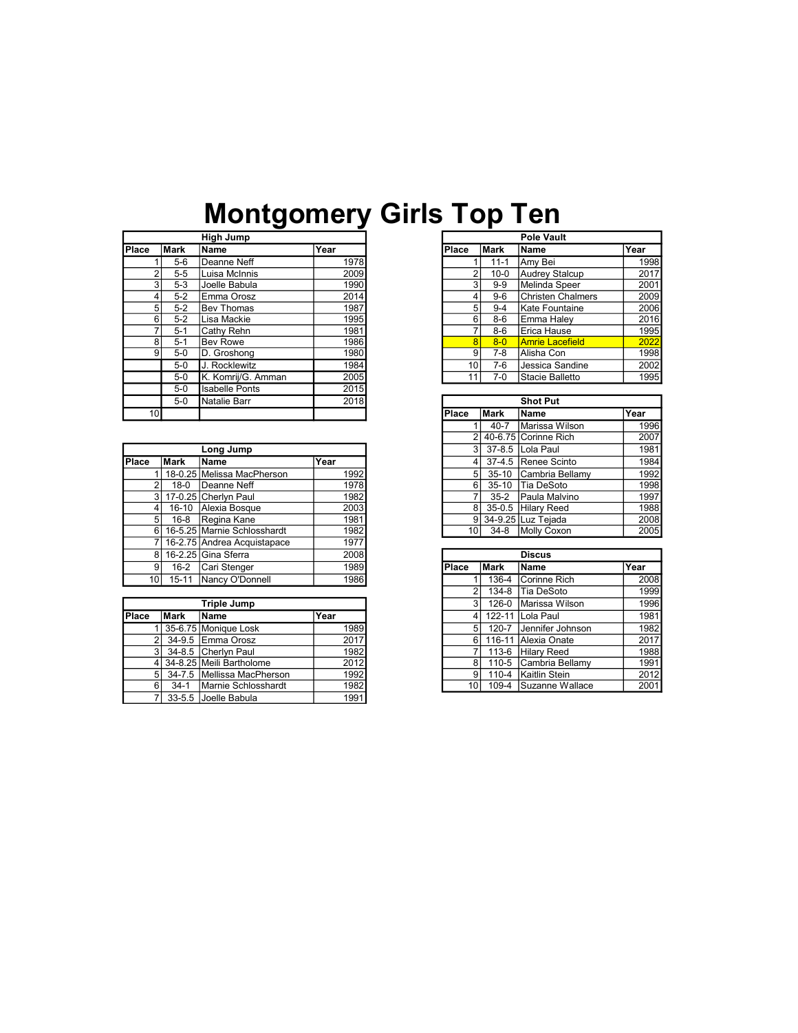## Montgomery Girls Top Ten

|                 |         | High Jump             |      |                |          | <b>Pole Vault</b>        |                 |
|-----------------|---------|-----------------------|------|----------------|----------|--------------------------|-----------------|
| Place           | Mark    | Name                  | Year | Place          | Mark     | Name                     | Year            |
|                 | $5-6$   | Deanne Neff           | 1978 |                | $11 - 1$ | Amv Bei                  | 19              |
|                 | $5-5$   | Luisa McInnis         | 2009 | $\overline{2}$ | $10 - 0$ | <b>Audrey Stalcup</b>    | 20              |
| 3               | $5-3$   | Joelle Babula         | 1990 | 3              | $9-9$    | Melinda Speer            | 20              |
| 4               | $5-2$   | Emma Orosz            | 2014 | $\vert$        | $9-6$    | <b>Christen Chalmers</b> | 20              |
| 5               | $5 - 2$ | <b>Bev Thomas</b>     | 1987 | 5 <sup>5</sup> | $9 - 4$  | lKate Fountaine          | 20              |
| 6               | $5 - 2$ | Lisa Mackie           | 1995 | $6 \mid$       | $8-6$    | Emma Halev               | 20              |
|                 | $5 - 1$ | Cathy Rehn            | 1981 | 7              | $8 - 6$  | Erica Hause              | 19              |
| 8               | $5 - 1$ | Bev Rowe              | 1986 | $\overline{8}$ | $8 - 0$  | <b>Amrie Lacefield</b>   | $\overline{20}$ |
| 9 <sub>1</sub>  | $5-0$   | D. Groshong           | 1980 | 9              | $7-8$    | Alisha Con               | 19              |
|                 | $5-0$   | J. Rocklewitz         | 1984 | 10 l           | $7-6$    | Jessica Sandine          | 20              |
|                 | $5-0$   | K. Komrij/G. Amman    | 2005 | 11             | 7-0      | Stacie Balletto          | 19              |
|                 | $5-0$   | <b>Isabelle Ponts</b> | 2015 |                |          |                          |                 |
|                 | $5-0$   | Natalie Barr          | 2018 |                |          | <b>Shot Put</b>          |                 |
| 10 <sup>1</sup> |         |                       |      | Place          | Mark     | <b>Name</b>              | Year            |

|                |             | Long Jump                   |      |
|----------------|-------------|-----------------------------|------|
| Place          | <b>Mark</b> | Name                        | Year |
|                |             | 18-0.25 Melissa MacPherson  | 1992 |
| ົ              | $18-0$      | Deanne Neff                 | 1978 |
|                |             | 17-0.25 Cherlyn Paul        | 1982 |
| 4              | 16-10       | Alexia Bosque               | 2003 |
| 5 <sub>l</sub> | 16-8        | Regina Kane                 | 1981 |
| 61             |             | 16-5.25 Marnie Schlosshardt | 1982 |
|                |             | 16-2.75 Andrea Acquistapace | 1977 |
| 8              |             | 16-2.25 Gina Sferra         | 2008 |
| 9              | $16 - 2$    | Cari Stenger                | 1989 |
| 10 I           | $15 - 11$   | <b>Nancy O'Donnell</b>      | 1986 |

|               |        | Triple Jump                |      |
|---------------|--------|----------------------------|------|
| <b>IPlace</b> | Mark   | ∣Name                      | Year |
|               |        | 35-6.75 Monique Losk       | 1989 |
|               |        | 34-9.5 Emma Orosz          | 2017 |
|               |        | 34-8.5 Cherlyn Paul        | 1982 |
|               |        | 4 34-8.25 Meili Bartholome | 2012 |
| 5             |        | 34-7.5 Mellissa MacPherson | 1992 |
| 6             | $34-1$ | Marnie Schlosshardt        | 1982 |
|               |        | 33-5.5 Joelle Babula       | 1991 |

| High Jump                   |      |
|-----------------------------|------|
| <b>Mark</b><br>Name         | Year |
| Deanne Neff<br>5-6          | 1978 |
| $5-5$<br>Luisa McInnis      | 2009 |
| $5-3$<br>Joelle Babula      | 1990 |
| $5-2$<br>Emma Orosz         | 2014 |
| $5-2$<br><b>Bev Thomas</b>  | 1987 |
| $5-2$<br>Lisa Mackie        | 1995 |
| Cathy Rehn<br>$5 - 1$       | 1981 |
| $5 - 1$<br><b>Bev Rowe</b>  | 1986 |
| $5-0$<br>D. Groshong        | 1980 |
| J. Rocklewitz<br>$5-0$      | 1984 |
| K. Komrij/G. Amman<br>$5-0$ | 2005 |
|                             |      |

|                | $5-0$                    | Natalie Barr                  | 2018          |
|----------------|--------------------------|-------------------------------|---------------|
| 10I            |                          |                               |               |
|                |                          |                               |               |
|                |                          |                               |               |
|                |                          | Long Jump                     |               |
|                | <b>Mark</b>              | Name                          | Year          |
|                |                          | 18-0.25 Melissa MacPherson    | 1992          |
|                | $\overline{2}$<br>$18-0$ | lDeanne Neff                  | 1978          |
|                |                          | 3 17-0.25 Cherlyn Paul        | 1982          |
| 4 <sup>1</sup> | $16 - 10$                | Alexia Bosque                 | 2003          |
| 5 <sup>1</sup> | 16-8                     | Regina Kane                   | 1981          |
|                |                          | 6 16-5.25 Marnie Schlosshardt | 1982 <b>I</b> |

| 8 16-2.25 Gina Sferra         | 2008 |  |
|-------------------------------|------|--|
| Cari Stenger<br>$16-2$        | 1989 |  |
| Nancy O'Donnell<br>$15 - 11$  | 1986 |  |
|                               |      |  |
| <b>Triple Jump</b>            |      |  |
| Mark<br>∣Name                 | Year |  |
| 35-6.75 Monique Losk          | 1989 |  |
| 34-9.5 Emma Orosz             | 2017 |  |
| 34-8.5 Cherlyn Paul           | 1982 |  |
| 4 34-8.25 Meili Bartholome    | 2012 |  |
| 5 34-7.5 Mellissa MacPherson  | 1992 |  |
| Marnie Schlosshardt<br>$34-1$ | 1982 |  |